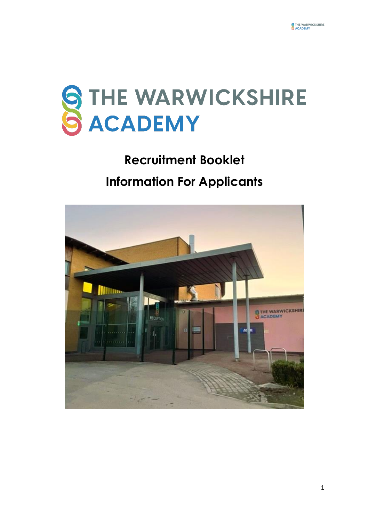

# **Recruitment Booklet Information For Applicants**

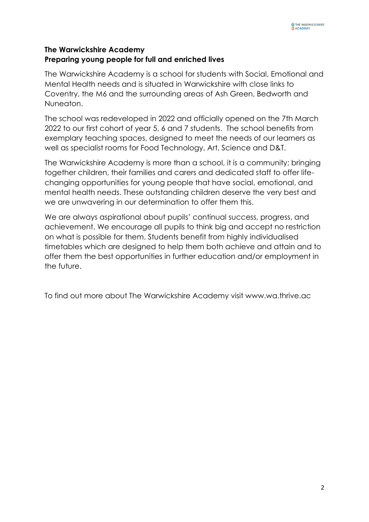# **The Warwickshire Academy Preparing young people for full and enriched lives**

The Warwickshire Academy is a school for students with Social, Emotional and Mental Health needs and is situated in Warwickshire with close links to Coventry, the M6 and the surrounding areas of Ash Green, Bedworth and Nuneaton.

The school was redeveloped in 2022 and officially opened on the 7th March 2022 to our first cohort of year 5, 6 and 7 students. The school benefits from exemplary teaching spaces, designed to meet the needs of our learners as well as specialist rooms for Food Technology, Art, Science and D&T.

The Warwickshire Academy is more than a school, it is a community; bringing together children, their families and carers and dedicated staff to offer lifechanging opportunities for young people that have social, emotional, and mental health needs. These outstanding children deserve the very best and we are unwavering in our determination to offer them this.

We are always aspirational about pupils' continual success, progress, and achievement. We encourage all pupils to think big and accept no restriction on what is possible for them. Students benefit from highly individualised timetables which are designed to help them both achieve and attain and to offer them the best opportunities in further education and/or employment in the future.

To find out more about The Warwickshire Academy visit www.wa.thrive.ac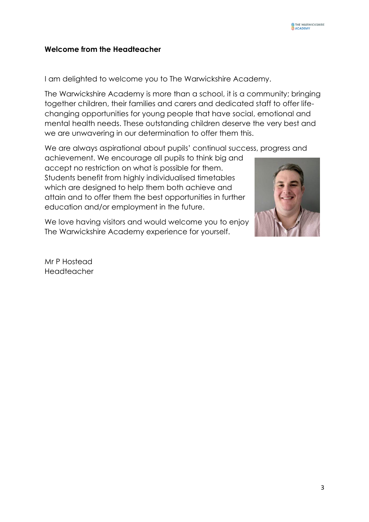#### **Welcome from the Headteacher**

I am delighted to welcome you to The Warwickshire Academy.

The Warwickshire Academy is more than a school, it is a community; bringing together children, their families and carers and dedicated staff to offer lifechanging opportunities for young people that have social, emotional and mental health needs. These outstanding children deserve the very best and we are unwavering in our determination to offer them this.

We are always aspirational about pupils' continual success, progress and

achievement. We encourage all pupils to think big and accept no restriction on what is possible for them. Students benefit from highly individualised timetables which are designed to help them both achieve and attain and to offer them the best opportunities in further education and/or employment in the future.

We love having visitors and would welcome you to enjoy The Warwickshire Academy experience for yourself.



Mr P Hostead Headteacher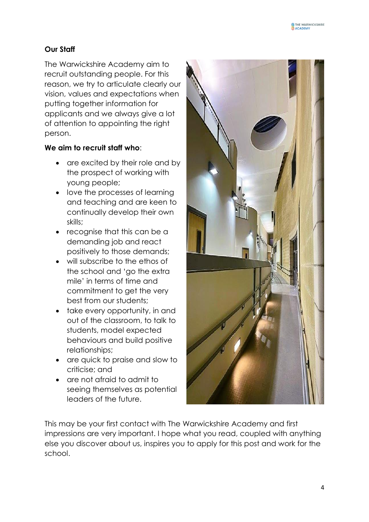# **Our Staff**

The Warwickshire Academy aim to recruit outstanding people. For this reason, we try to articulate clearly our vision, values and expectations when putting together information for applicants and we always give a lot of attention to appointing the right person.

# **We aim to recruit staff who**:

- are excited by their role and by the prospect of working with young people;
- love the processes of learning and teaching and are keen to continually develop their own skills;
- recognise that this can be a demanding job and react positively to those demands;
- will subscribe to the ethos of the school and 'go the extra mile' in terms of time and commitment to get the very best from our students;
- take every opportunity, in and out of the classroom, to talk to students, model expected behaviours and build positive relationships;
- are quick to praise and slow to criticise; and
- are not afraid to admit to seeing themselves as potential leaders of the future.



This may be your first contact with The Warwickshire Academy and first impressions are very important. I hope what you read, coupled with anything else you discover about us, inspires you to apply for this post and work for the school.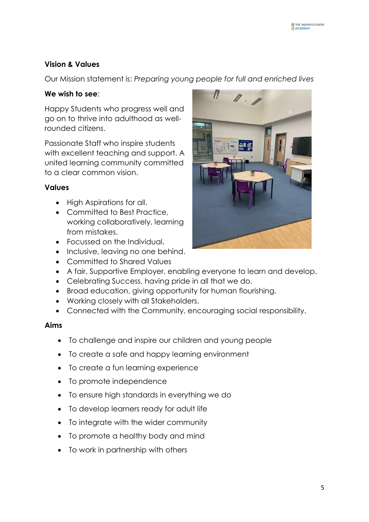# **Vision & Values**

Our Mission statement is: *Preparing young people for full and enriched lives*

#### **We wish to see**:

Happy Students who progress well and go on to thrive into adulthood as wellrounded citizens.

Passionate Staff who inspire students with excellent teaching and support. A united learning community committed to a clear common vision.

#### **Values**

- High Aspirations for all.
- Committed to Best Practice. working collaboratively, learning from mistakes.
- Focussed on the Individual.
- Inclusive, leaving no one behind.
- Committed to Shared Values
- A fair, Supportive Employer, enabling everyone to learn and develop.
- Celebrating Success, having pride in all that we do.
- Broad education, giving opportunity for human flourishing.
- Working closely with all Stakeholders.
- Connected with the Community, encouraging social responsibility.

#### **Aims**

- To challenge and inspire our children and young people
- To create a safe and happy learning environment
- To create a fun learning experience
- To promote independence
- To ensure high standards in everything we do
- To develop learners ready for adult life
- To integrate with the wider community
- To promote a healthy body and mind
- To work in partnership with others

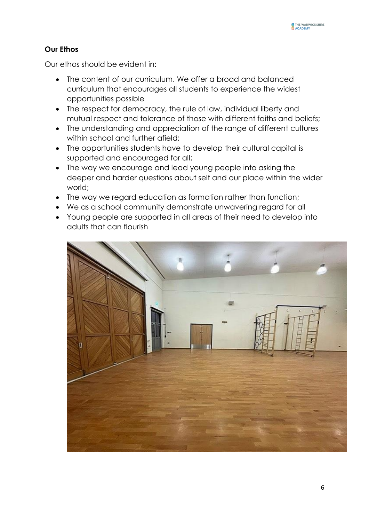# **Our Ethos**

Our ethos should be evident in:

- The content of our curriculum. We offer a broad and balanced curriculum that encourages all students to experience the widest opportunities possible
- The respect for democracy, the rule of law, individual liberty and mutual respect and tolerance of those with different faiths and beliefs;
- The understanding and appreciation of the range of different cultures within school and further afield;
- The opportunities students have to develop their cultural capital is supported and encouraged for all;
- The way we encourage and lead young people into asking the deeper and harder questions about self and our place within the wider world;
- The way we regard education as formation rather than function;
- We as a school community demonstrate unwavering regard for all
- Young people are supported in all areas of their need to develop into adults that can flourish

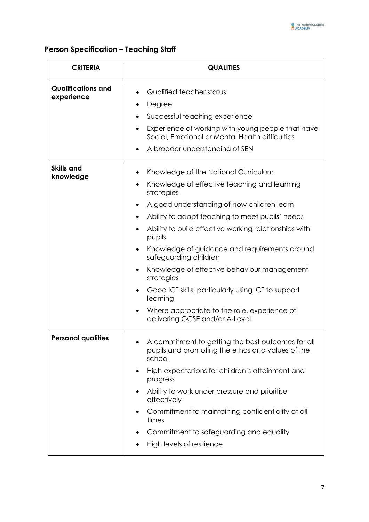# **Person Specification – Teaching Staff**

| <b>CRITERIA</b>                         | <b>QUALITIES</b>                                                                                                                                                                                                                                                                                                                                                                                                                                                                                                                                                                                                                                                  |
|-----------------------------------------|-------------------------------------------------------------------------------------------------------------------------------------------------------------------------------------------------------------------------------------------------------------------------------------------------------------------------------------------------------------------------------------------------------------------------------------------------------------------------------------------------------------------------------------------------------------------------------------------------------------------------------------------------------------------|
| <b>Qualifications and</b><br>experience | Qualified teacher status<br>٠<br>Degree<br>٠<br>Successful teaching experience<br>٠<br>Experience of working with young people that have<br>$\bullet$<br>Social, Emotional or Mental Health difficulties<br>A broader understanding of SEN<br>$\bullet$                                                                                                                                                                                                                                                                                                                                                                                                           |
| <b>Skills and</b><br>knowledge          | Knowledge of the National Curriculum<br>٠<br>Knowledge of effective teaching and learning<br>$\bullet$<br>strategies<br>A good understanding of how children learn<br>Ability to adapt teaching to meet pupils' needs<br>$\bullet$<br>Ability to build effective working relationships with<br>$\bullet$<br>pupils<br>Knowledge of guidance and requirements around<br>$\bullet$<br>safeguarding children<br>Knowledge of effective behaviour management<br>$\bullet$<br>strategies<br>Good ICT skills, particularly using ICT to support<br>$\bullet$<br>learning<br>Where appropriate to the role, experience of<br>$\bullet$<br>delivering GCSE and/or A-Level |
| <b>Personal qualities</b>               | A commitment to getting the best outcomes for all<br>pupils and promoting the ethos and values of the<br>school<br>High expectations for children's attainment and<br>$\bullet$<br>progress<br>Ability to work under pressure and prioritise<br>effectively<br>Commitment to maintaining confidentiality at all<br>times<br>Commitment to safeguarding and equality<br>High levels of resilience                                                                                                                                                                                                                                                                  |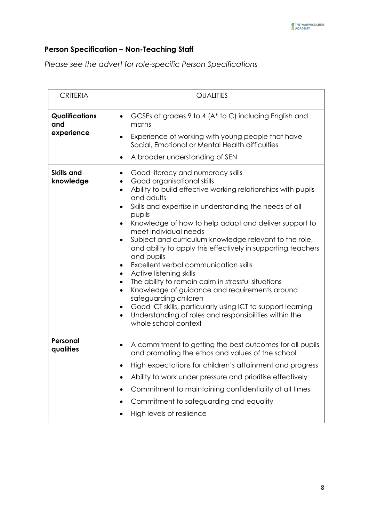# **Person Specification – Non-Teaching Staff**

*Please see the advert for role-specific Person Specifications*

| <b>CRITERIA</b>                            | <b>QUALITIES</b>                                                                                                                                                                                                                                                                                                                                                                                                                                                                                                                                                                                                                                                                                                                                                                                                                                                                                                   |
|--------------------------------------------|--------------------------------------------------------------------------------------------------------------------------------------------------------------------------------------------------------------------------------------------------------------------------------------------------------------------------------------------------------------------------------------------------------------------------------------------------------------------------------------------------------------------------------------------------------------------------------------------------------------------------------------------------------------------------------------------------------------------------------------------------------------------------------------------------------------------------------------------------------------------------------------------------------------------|
| <b>Qualifications</b><br>and<br>experience | GCSEs at grades 9 to 4 (A* to C) including English and<br>$\bullet$<br>maths<br>Experience of working with young people that have<br>$\bullet$<br>Social, Emotional or Mental Health difficulties<br>A broader understanding of SEN<br>$\bullet$                                                                                                                                                                                                                                                                                                                                                                                                                                                                                                                                                                                                                                                                   |
| <b>Skills and</b><br>knowledge             | Good literacy and numeracy skills<br>٠<br>Good organisational skills<br>Ability to build effective working relationships with pupils<br>$\bullet$<br>and adults<br>Skills and expertise in understanding the needs of all<br>٠<br>pupils<br>Knowledge of how to help adapt and deliver support to<br>$\bullet$<br>meet individual needs<br>Subject and curriculum knowledge relevant to the role,<br>$\bullet$<br>and ability to apply this effectively in supporting teachers<br>and pupils<br>Excellent verbal communication skills<br>$\bullet$<br>Active listening skills<br>$\bullet$<br>The ability to remain calm in stressful situations<br>$\bullet$<br>Knowledge of guidance and requirements around<br>$\bullet$<br>safeguarding children<br>Good ICT skills, particularly using ICT to support learning<br>Understanding of roles and responsibilities within the<br>$\bullet$<br>whole school context |
| Personal<br>qualities                      | A commitment to getting the best outcomes for all pupils<br>٠<br>and promoting the ethos and values of the school<br>High expectations for children's attainment and progress<br>Ability to work under pressure and prioritise effectively<br>Commitment to maintaining confidentiality at all times<br>Commitment to safeguarding and equality<br>High levels of resilience                                                                                                                                                                                                                                                                                                                                                                                                                                                                                                                                       |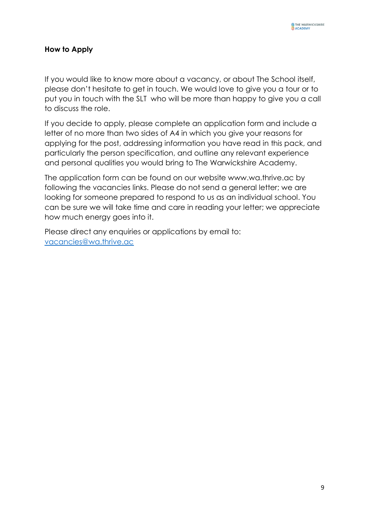#### **How to Apply**

If you would like to know more about a vacancy, or about The School itself, please don't hesitate to get in touch. We would love to give you a tour or to put you in touch with the SLT who will be more than happy to give you a call to discuss the role.

If you decide to apply, please complete an application form and include a letter of no more than two sides of A4 in which you give your reasons for applying for the post, addressing information you have read in this pack, and particularly the person specification, and outline any relevant experience and personal qualities you would bring to The Warwickshire Academy.

The application form can be found on our website www.wa.thrive.ac by following the vacancies links. Please do not send a general letter; we are looking for someone prepared to respond to us as an individual school. You can be sure we will take time and care in reading your letter; we appreciate how much energy goes into it.

Please direct any enquiries or applications by email to: [vacancies@wa.thrive.ac](mailto:vacancies@wa.thrive.ac)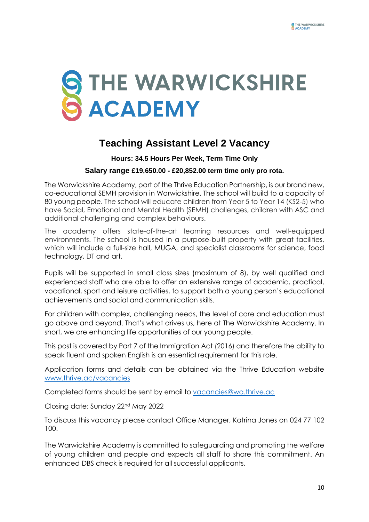

# **Teaching Assistant Level 2 Vacancy**

# **Hours: 34.5 Hours Per Week, Term Time Only Salary range £19,650.00 - £20,852.00 term time only pro rota.**

The Warwickshire Academy, part of the Thrive Education Partnership, is our brand new, co-educational SEMH provision in Warwickshire. The school will build to a capacity of 80 young people. The school will educate children from Year 5 to Year 14 (KS2-5) who have Social, Emotional and Mental Health (SEMH) challenges, children with ASC and additional challenging and complex behaviours.

The academy offers state-of-the-art learning resources and well-equipped environments. The school is housed in a purpose-built property with great facilities, which will include a full-size hall, MUGA, and specialist classrooms for science, food technology, DT and art.

Pupils will be supported in small class sizes (maximum of 8), by well qualified and experienced staff who are able to offer an extensive range of academic, practical, vocational, sport and leisure activities, to support both a young person's educational achievements and social and communication skills.

For children with complex, challenging needs, the level of care and education must go above and beyond. That's what drives us, here at The Warwickshire Academy. In short, we are enhancing life opportunities of our young people.

This post is covered by Part 7 of the Immigration Act (2016) and therefore the ability to speak fluent and spoken English is an essential requirement for this role.

Application forms and details can be obtained via the Thrive Education website [www.thrive.ac/vacancies](http://www.thrive.ac/vacancies)

Completed forms should be sent by email to [vacancies@wa.thrive.ac](mailto:vacancies@wa.thrive.ac)

Closing date: Sunday 22nd May 2022

To discuss this vacancy please contact Office Manager, Katrina Jones on 024 77 102 100.

The Warwickshire Academy is committed to safeguarding and promoting the welfare of young children and people and expects all staff to share this commitment. An enhanced DBS check is required for all successful applicants.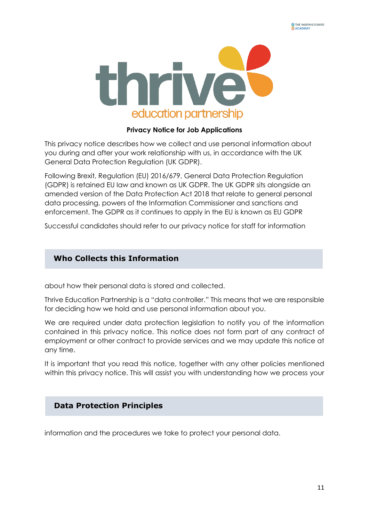

#### **Privacy Notice for Job Applications**

This privacy notice describes how we collect and use personal information about you during and after your work relationship with us, in accordance with the UK General Data Protection Regulation (UK GDPR).

Following Brexit, Regulation (EU) 2016/679, General Data Protection Regulation (GDPR) is retained EU law and known as UK GDPR. The UK GDPR sits alongside an amended version of the Data Protection Act 2018 that relate to general personal data processing, powers of the Information Commissioner and sanctions and enforcement. The GDPR as it continues to apply in the EU is known as EU GDPR

Successful candidates should refer to our privacy notice for staff for information

## **Who Collects this Information**

about how their personal data is stored and collected.

Thrive Education Partnership is a "data controller." This means that we are responsible for deciding how we hold and use personal information about you.

We are required under data protection legislation to notify you of the information contained in this privacy notice. This notice does not form part of any contract of employment or other contract to provide services and we may update this notice at any time.

It is important that you read this notice, together with any other policies mentioned within this privacy notice. This will assist you with understanding how we process your

#### **Data Protection Principles**

information and the procedures we take to protect your personal data.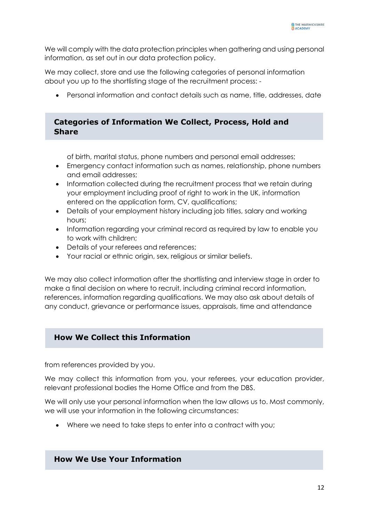We will comply with the data protection principles when gathering and using personal information, as set out in our data protection policy.

We may collect, store and use the following categories of personal information about you up to the shortlisting stage of the recruitment process: -

Personal information and contact details such as name, title, addresses, date

#### **Categories of Information We Collect, Process, Hold and Share**

of birth, marital status, phone numbers and personal email addresses;

- Emergency contact information such as names, relationship, phone numbers and email addresses;
- Information collected during the recruitment process that we retain during your employment including proof of right to work in the UK, information entered on the application form, CV, qualifications;
- Details of your employment history including job titles, salary and working hours;
- Information regarding your criminal record as required by law to enable you to work with children;
- Details of your referees and references;
- Your racial or ethnic origin, sex, religious or similar beliefs.

We may also collect information after the shortlisting and interview stage in order to make a final decision on where to recruit, including criminal record information, references, information regarding qualifications. We may also ask about details of any conduct, grievance or performance issues, appraisals, time and attendance

#### **How We Collect this Information**

from references provided by you.

We may collect this information from you, your referees, your education provider, relevant professional bodies the Home Office and from the DBS.

We will only use your personal information when the law allows us to. Most commonly, we will use your information in the following circumstances:

Where we need to take steps to enter into a contract with you;

#### **How We Use Your Information**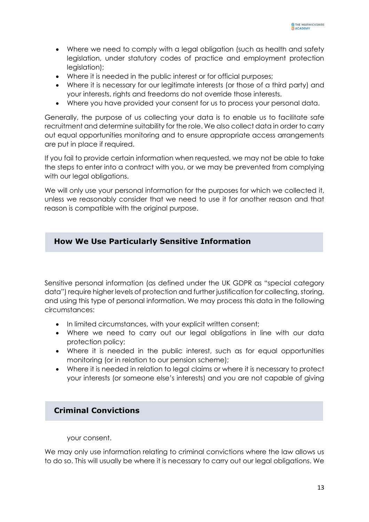- Where we need to comply with a legal obligation (such as health and safety legislation, under statutory codes of practice and employment protection legislation);
- Where it is needed in the public interest or for official purposes;
- Where it is necessary for our legitimate interests (or those of a third party) and your interests, rights and freedoms do not override those interests.
- Where you have provided your consent for us to process your personal data.

Generally, the purpose of us collecting your data is to enable us to facilitate safe recruitment and determine suitability for the role. We also collect data in order to carry out equal opportunities monitoring and to ensure appropriate access arrangements are put in place if required.

If you fail to provide certain information when requested, we may not be able to take the steps to enter into a contract with you, or we may be prevented from complying with our legal obligations.

We will only use your personal information for the purposes for which we collected it, unless we reasonably consider that we need to use it for another reason and that reason is compatible with the original purpose.

#### **How We Use Particularly Sensitive Information**

Sensitive personal information (as defined under the UK GDPR as "special category data") require higher levels of protection and further justification for collecting, storing, and using this type of personal information. We may process this data in the following circumstances:

- In limited circumstances, with your explicit written consent;
- Where we need to carry out our legal obligations in line with our data protection policy;
- Where it is needed in the public interest, such as for equal opportunities monitoring (or in relation to our pension scheme);
- Where it is needed in relation to legal claims or where it is necessary to protect your interests (or someone else's interests) and you are not capable of giving

#### **Criminal Convictions**

your consent.

We may only use information relating to criminal convictions where the law allows us to do so. This will usually be where it is necessary to carry out our legal obligations. We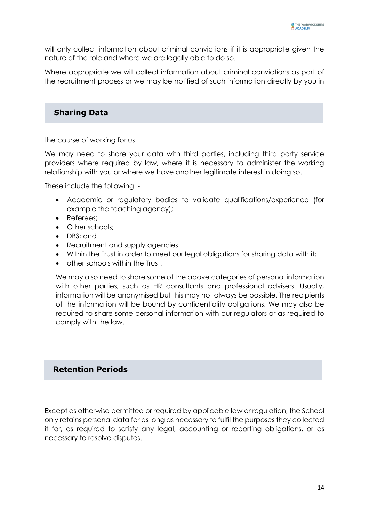will only collect information about criminal convictions if it is appropriate given the nature of the role and where we are legally able to do so.

Where appropriate we will collect information about criminal convictions as part of the recruitment process or we may be notified of such information directly by you in

# **Sharing Data**

the course of working for us.

We may need to share your data with third parties, including third party service providers where required by law, where it is necessary to administer the working relationship with you or where we have another legitimate interest in doing so.

These include the following: -

- Academic or regulatory bodies to validate qualifications/experience (for example the teaching agency);
- Referees:
- Other schools;
- DBS; and
- Recruitment and supply agencies.
- Within the Trust in order to meet our legal obligations for sharing data with it;
- other schools within the Trust.

We may also need to share some of the above categories of personal information with other parties, such as HR consultants and professional advisers. Usually, information will be anonymised but this may not always be possible. The recipients of the information will be bound by confidentiality obligations. We may also be required to share some personal information with our regulators or as required to comply with the law.

# **Retention Periods**

Except as otherwise permitted or required by applicable law or regulation, the School only retains personal data for as long as necessary to fulfil the purposes they collected it for, as required to satisfy any legal, accounting or reporting obligations, or as necessary to resolve disputes.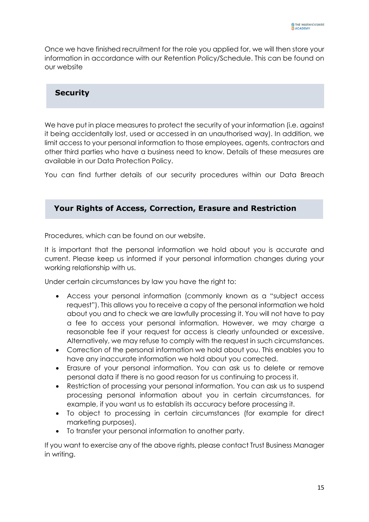Once we have finished recruitment for the role you applied for, we will then store your information in accordance with our Retention Policy/Schedule. This can be found on our website

#### **Security**

We have put in place measures to protect the security of your information (i.e. against it being accidentally lost, used or accessed in an unauthorised way). In addition, we limit access to your personal information to those employees, agents, contractors and other third parties who have a business need to know. Details of these measures are available in our Data Protection Policy.

You can find further details of our security procedures within our Data Breach

#### **Your Rights of Access, Correction, Erasure and Restriction**

Procedures, which can be found on our website.

It is important that the personal information we hold about you is accurate and current. Please keep us informed if your personal information changes during your working relationship with us.

Under certain circumstances by law you have the right to:

- Access your personal information (commonly known as a "subject access request"). This allows you to receive a copy of the personal information we hold about you and to check we are lawfully processing it. You will not have to pay a fee to access your personal information. However, we may charge a reasonable fee if your request for access is clearly unfounded or excessive. Alternatively, we may refuse to comply with the request in such circumstances.
- Correction of the personal information we hold about you. This enables you to have any inaccurate information we hold about you corrected.
- Erasure of your personal information. You can ask us to delete or remove personal data if there is no good reason for us continuing to process it.
- Restriction of processing your personal information. You can ask us to suspend processing personal information about you in certain circumstances, for example, if you want us to establish its accuracy before processing it.
- To object to processing in certain circumstances (for example for direct marketing purposes).
- To transfer your personal information to another party.

If you want to exercise any of the above rights, please contact Trust Business Manager in writing.